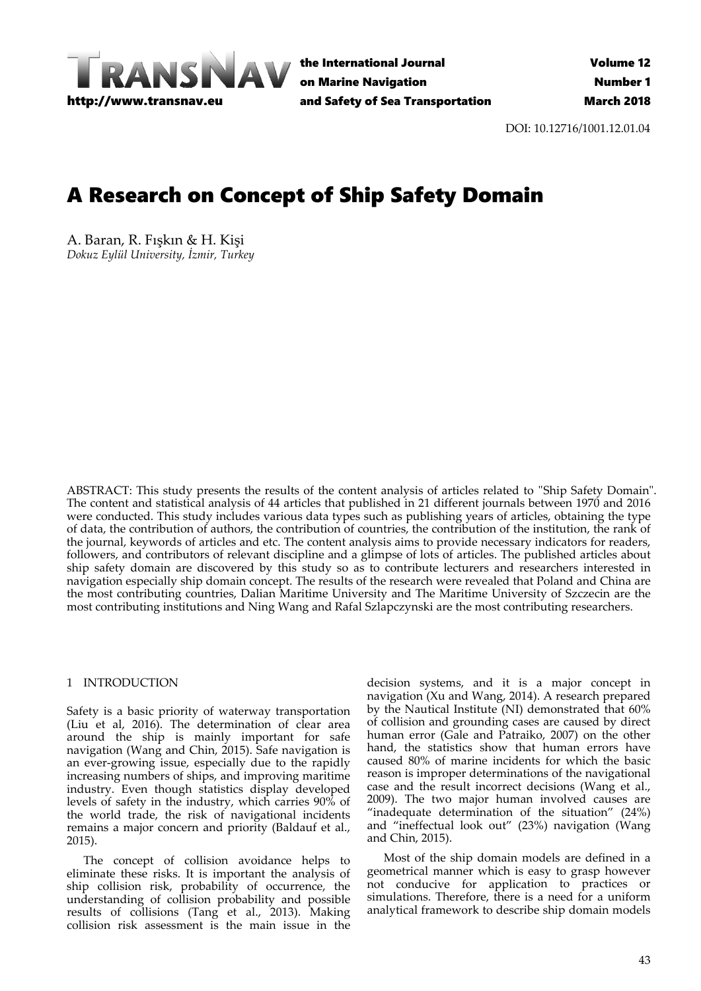

the International Journal on Marine Navigation and Safety of Sea Transportation

DOI: 10.12716/1001.12.01.04

# A Research on Concept of Ship Safety Domain

A. Baran, R. Fışkın & H. Kişi *Dokuz Eylül University, İzmir, Turkey*

ABSTRACT: This study presents the results of the content analysis of articles related to "Ship Safety Domain". The content and statistical analysis of 44 articles that published in 21 different journals between 1970 and 2016 were conducted. This study includes various data types such as publishing years of articles, obtaining the type of data, the contribution of authors, the contribution of countries, the contribution of the institution, the rank of the journal, keywords of articles and etc. The content analysis aims to provide necessary indicators for readers, followers, and contributors of relevant discipline and a glimpse of lots of articles. The published articles about ship safety domain are discovered by this study so as to contribute lecturers and researchers interested in navigation especially ship domain concept. The results of the research were revealed that Poland and China are the most contributing countries, Dalian Maritime University and The Maritime University of Szczecin are the most contributing institutions and Ning Wang and Rafal Szlapczynski are the most contributing researchers.

## 1 INTRODUCTION

Safety is a basic priority of waterway transportation (Liu et al, 2016). The determination of clear area around the ship is mainly important for safe navigation (Wang and Chin, 2015). Safe navigation is an ever‐growing issue, especially due to the rapidly increasing numbers of ships, and improving maritime industry. Even though statistics display developed levels of safety in the industry, which carries 90% of the world trade, the risk of navigational incidents remains a major concern and priority (Baldauf et al., 2015).

The concept of collision avoidance helps to eliminate these risks. It is important the analysis of ship collision risk, probability of occurrence, the understanding of collision probability and possible results of collisions (Tang et al., 2013). Making collision risk assessment is the main issue in the

decision systems, and it is a major concept in navigation (Xu and Wang, 2014). A research prepared by the Nautical Institute (NI) demonstrated that 60% of collision and grounding cases are caused by direct human error (Gale and Patraiko, 2007) on the other hand, the statistics show that human errors have caused 80% of marine incidents for which the basic reason is improper determinations of the navigational case and the result incorrect decisions (Wang et al., 2009). The two major human involved causes are "inadequate determination of the situation" (24%) and "ineffectual look out" (23%) navigation (Wang and Chin, 2015).

Most of the ship domain models are defined in a geometrical manner which is easy to grasp however not conducive for application to practices or simulations. Therefore, there is a need for a uniform analytical framework to describe ship domain models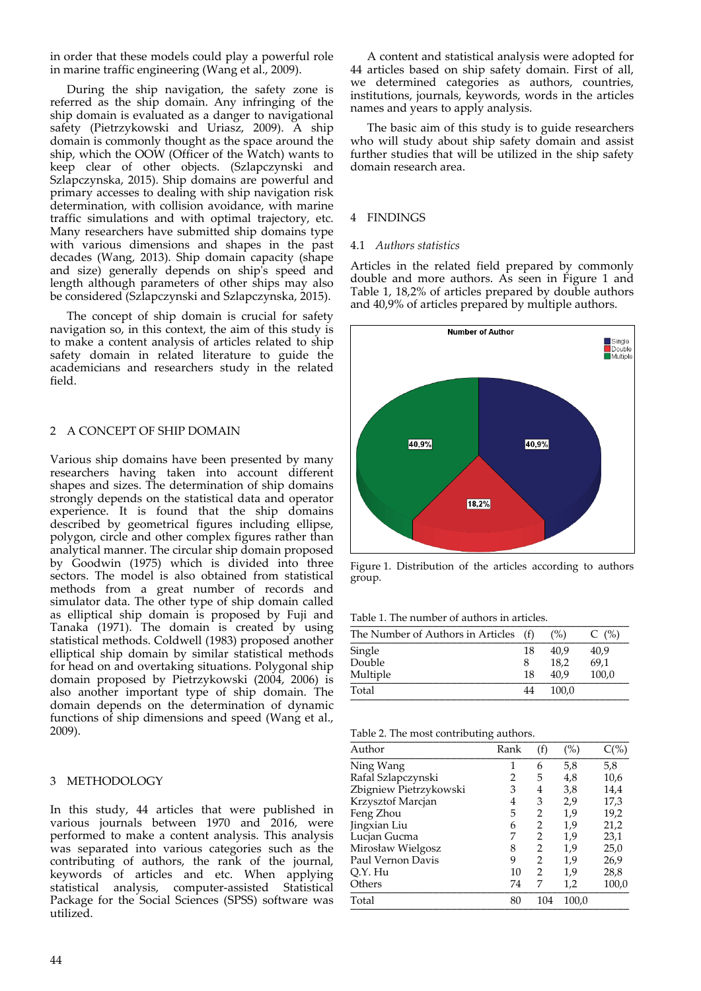in order that these models could play a powerful role in marine traffic engineering (Wang et al., 2009).

During the ship navigation, the safety zone is referred as the ship domain. Any infringing of the ship domain is evaluated as a danger to navigational safety (Pietrzykowski and Uriasz, 2009). A ship domain is commonly thought as the space around the ship, which the OOW (Officer of the Watch) wants to keep clear of other objects. (Szlapczynski and Szlapczynska, 2015). Ship domains are powerful and primary accesses to dealing with ship navigation risk determination, with collision avoidance, with marine traffic simulations and with optimal trajectory, etc. Many researchers have submitted ship domains type with various dimensions and shapes in the past decades (Wang, 2013). Ship domain capacity (shape and size) generally depends on shipʹs speed and length although parameters of other ships may also be considered (Szlapczynski and Szlapczynska, 2015).

The concept of ship domain is crucial for safety navigation so, in this context, the aim of this study is to make a content analysis of articles related to ship safety domain in related literature to guide the academicians and researchers study in the related field.

## 2 A CONCEPT OF SHIP DOMAIN

Various ship domains have been presented by many researchers having taken into account different shapes and sizes. The determination of ship domains strongly depends on the statistical data and operator experience. It is found that the ship domains described by geometrical figures including ellipse, polygon, circle and other complex figures rather than analytical manner. The circular ship domain proposed by Goodwin (1975) which is divided into three sectors. The model is also obtained from statistical methods from a great number of records and simulator data. The other type of ship domain called as elliptical ship domain is proposed by Fuji and Tanaka (1971). The domain is created by using statistical methods. Coldwell (1983) proposed another elliptical ship domain by similar statistical methods for head on and overtaking situations. Polygonal ship domain proposed by Pietrzykowski (2004, 2006) is also another important type of ship domain. The domain depends on the determination of dynamic functions of ship dimensions and speed (Wang et al., 2009).

## 3 METHODOLOGY

In this study, 44 articles that were published in various journals between 1970 and 2016, were performed to make a content analysis. This analysis was separated into various categories such as the contributing of authors, the rank of the journal, keywords of articles and etc. When applying statistical analysis, computer‐assisted Statistical Package for the Social Sciences (SPSS) software was utilized.

A content and statistical analysis were adopted for 44 articles based on ship safety domain. First of all, we determined categories as authors, countries, institutions, journals, keywords, words in the articles names and years to apply analysis.

The basic aim of this study is to guide researchers who will study about ship safety domain and assist further studies that will be utilized in the ship safety domain research area.

## 4 FINDINGS

## 4.1 *Authors statistics*

Articles in the related field prepared by commonly double and more authors. As seen in Figure 1 and Table 1, 18,2% of articles prepared by double authors and 40,9% of articles prepared by multiple authors.



Figure 1. Distribution of the articles according to authors group.

Table 1. The number of authors in articles.

| The Number of Authors in Articles (f) |    | (% )  | C(%)  |
|---------------------------------------|----|-------|-------|
| Single                                | 18 | 40.9  | 40,9  |
| Double                                | 8  | 18.2  | 69,1  |
| Multiple                              | 18 | 40.9  | 100,0 |
| Total                                 | 44 | 100.0 |       |

Table 2. The most contributing authors.

| Author                 | Rank | (f)            | $(\%)$ | $C(\%)$ |
|------------------------|------|----------------|--------|---------|
| Ning Wang              | 1    | 6              | 5,8    | 5,8     |
| Rafal Szlapczynski     | 2    | 5              | 4,8    | 10,6    |
| Zbigniew Pietrzykowski | 3    | 4              | 3,8    | 14,4    |
| Krzysztof Marcjan      | 4    | 3              | 2,9    | 17,3    |
| Feng Zhou              | 5    | 2              | 1,9    | 19,2    |
| Jingxian Liu           | 6    | 2              | 1,9    | 21,2    |
| Lucjan Gucma           | 7    | 2              | 1,9    | 23,1    |
| Mirosław Wielgosz      | 8    | $\overline{2}$ | 1,9    | 25,0    |
| Paul Vernon Davis      | 9    | 2              | 1,9    | 26,9    |
| Q.Y. Hu                | 10   | 2              | 1,9    | 28,8    |
| Others                 | 74   | 7              | 1,2    | 100,0   |
| Total                  | 80   | 104            | 100,0  |         |
|                        |      |                |        |         |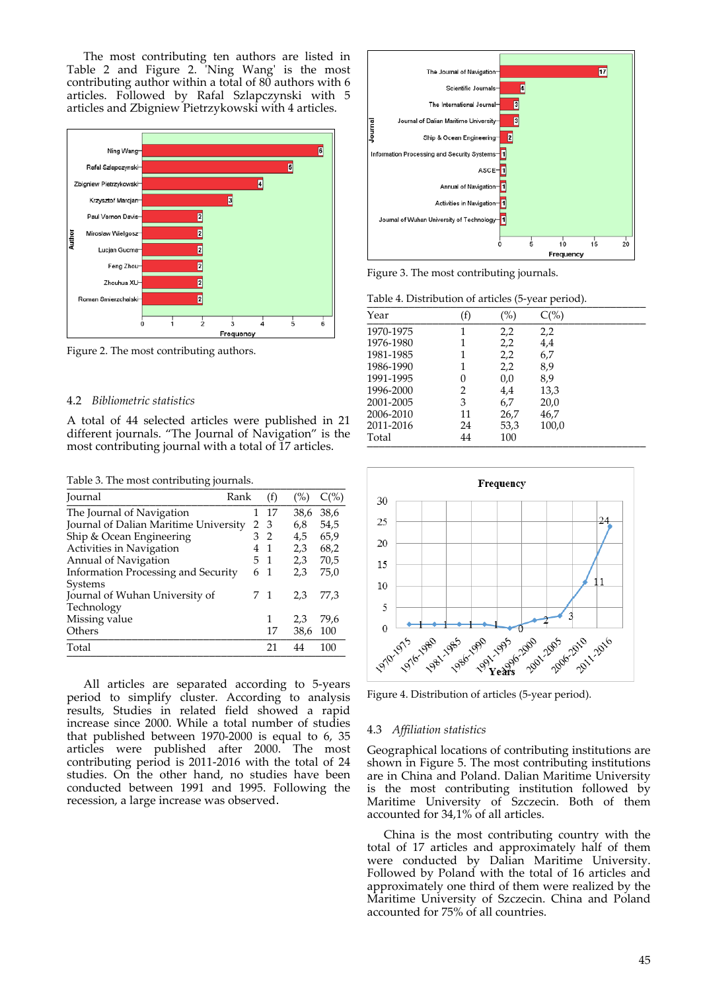The most contributing ten authors are listed in Table 2 and Figure 2. 'Ning Wang' is the most contributing author within a total of 80 authors with 6 articles. Followed by Rafal Szlapczynski with 5 articles and Zbigniew Pietrzykowski with 4 articles.



Figure 2. The most contributing authors.

#### 4.2 *Bibliometric statistics*

A total of 44 selected articles were published in 21 different journals. "The Journal of Navigation" is the most contributing journal with a total of 17 articles.

Table 3. The most contributing journals.

| Journal                                    | Rank | (f)            | (%)  | $C(\%)$ |
|--------------------------------------------|------|----------------|------|---------|
| The Journal of Navigation                  | 1    | 17             | 38,6 | 38,6    |
| Journal of Dalian Maritime University      | 2    | - 3            | 6,8  | 54,5    |
| Ship & Ocean Engineering                   |      | 3 <sub>2</sub> | 4,5  | 65,9    |
| Activities in Navigation                   | 4    | $\overline{1}$ | 2,3  | 68,2    |
| Annual of Navigation                       |      | 5 <sub>1</sub> | 2,3  | 70,5    |
| <b>Information Processing and Security</b> |      | 6 1            | 2,3  | 75,0    |
| Systems                                    |      |                |      |         |
| Journal of Wuhan University of             |      | 71             | 2.3  | 77,3    |
| Technology                                 |      |                |      |         |
| Missing value                              |      | 1              | 2,3  | 79,6    |
| Others                                     |      | 17             | 38,6 | 100     |
| Total                                      |      | 21             | 44   | 100     |
|                                            |      |                |      |         |

All articles are separated according to 5‐years period to simplify cluster. According to analysis results, Studies in related field showed a rapid increase since 2000. While a total number of studies that published between 1970‐2000 is equal to 6, 35 articles were published after 2000. The most contributing period is 2011‐2016 with the total of 24 studies. On the other hand, no studies have been conducted between 1991 and 1995. Following the recession, a large increase was observed.



Figure 3. The most contributing journals.

Table 4. Distribution of articles (5-year period).

| Year      | (f) | $(\%)$ | $C(\% )$ |
|-----------|-----|--------|----------|
| 1970-1975 | 1   | 2,2    | 2,2      |
| 1976-1980 | 1   | 2,2    | 4,4      |
| 1981-1985 | 1   | 2,2    | 6,7      |
| 1986-1990 | 1   | 2,2    | 8,9      |
| 1991-1995 | 0   | 0,0    | 8,9      |
| 1996-2000 | 2   | 4,4    | 13,3     |
| 2001-2005 | 3   | 6,7    | 20,0     |
| 2006-2010 | 11  | 26,7   | 46,7     |
| 2011-2016 | 24  | 53,3   | 100,0    |
| Total     | 44  | 100    |          |



Figure 4. Distribution of articles (5‐year period).

#### 4.3 *Affiliation statistics*

Geographical locations of contributing institutions are shown in Figure 5. The most contributing institutions are in China and Poland. Dalian Maritime University is the most contributing institution followed by Maritime University of Szczecin. Both of them accounted for 34,1% of all articles.

China is the most contributing country with the total of 17 articles and approximately half of them were conducted by Dalian Maritime University. Followed by Poland with the total of 16 articles and approximately one third of them were realized by the Maritime University of Szczecin. China and Poland accounted for 75% of all countries.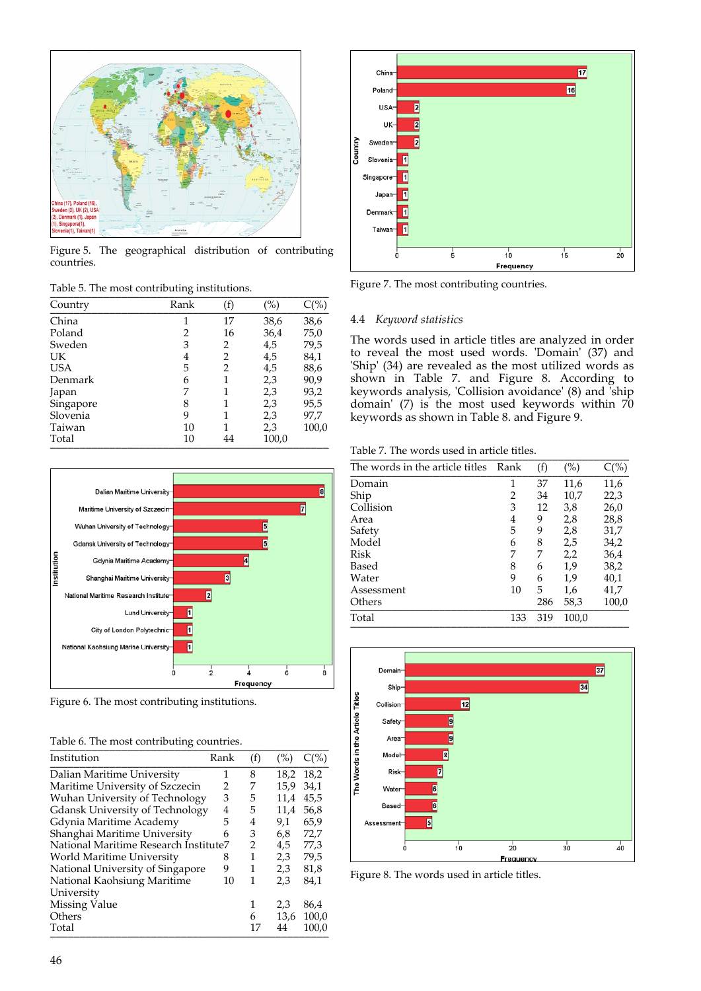

Figure 5. The geographical distribution of contributing countries.

| Table 5. The most contributing institutions. |  |
|----------------------------------------------|--|
|                                              |  |

| Country    | Rank | (f) | (%)   | $C(\%)$ |
|------------|------|-----|-------|---------|
| China      | 1    | 17  | 38,6  | 38,6    |
| Poland     | 2    | 16  | 36,4  | 75,0    |
| Sweden     | 3    | 2   | 4,5   | 79,5    |
| UK         | 4    | 2   | 4,5   | 84,1    |
| <b>USA</b> | 5    | 2   | 4,5   | 88,6    |
| Denmark    | 6    |     | 2,3   | 90,9    |
| Japan      | 7    |     | 2,3   | 93,2    |
| Singapore  | 8    |     | 2,3   | 95,5    |
| Slovenia   | 9    |     | 2,3   | 97,7    |
| Taiwan     | 10   |     | 2,3   | 100,0   |
| Total      | 10   | 44  | 100,0 |         |



Figure 6. The most contributing institutions.

| Table 6. The most contributing countries. |  |
|-------------------------------------------|--|
|                                           |  |

| Institution                            | Rank | (f) | (%)  | $C(\%)$ |
|----------------------------------------|------|-----|------|---------|
| Dalian Maritime University             | 1    | 8   | 18,2 | 18,2    |
| Maritime University of Szczecin        | 2    | 7   | 15.9 | 34,1    |
| Wuhan University of Technology         | 3    | 5   | 11,4 | 45,5    |
| <b>Gdansk University of Technology</b> | 4    | 5   | 11,4 | 56,8    |
| Gdynia Maritime Academy                | 5    | 4   | 9,1  | 65,9    |
| Shanghai Maritime University           | 6    | 3   | 6,8  | 72,7    |
| National Maritime Research Institute7  |      | 2   | 4,5  | 77,3    |
| World Maritime University              | 8    | 1   | 2,3  | 79,5    |
| National University of Singapore       | 9    | 1   | 2,3  | 81,8    |
| National Kaohsiung Maritime            | 10   | 1   | 2,3  | 84,1    |
| University                             |      |     |      |         |
| Missing Value                          |      | 1   | 2,3  | 86,4    |
| Others                                 |      | 6   | 13,6 | 100,0   |
| Total                                  |      | 17  | 44   | 100,0   |



Figure 7. The most contributing countries.

## 4.4 *Keyword statistics*

The words used in article titles are analyzed in order to reveal the most used words. 'Domain' (37) and 'Ship' (34) are revealed as the most utilized words as shown in Table 7. and Figure 8. According to keywords analysis, 'Collision avoidance' (8) and <sup>'</sup>ship domain'  $(7)$  is the most used keywords within  $70$ keywords as shown in Table 8. and Figure 9.

Table 7. The words used in article titles.

| The words in the article titles Rank |     | (f) | $(\%)$ | $C(\%)$ |
|--------------------------------------|-----|-----|--------|---------|
| Domain                               | 1   | 37  | 11,6   | 11,6    |
| Ship                                 | 2   | 34  | 10,7   | 22,3    |
| Collision                            | 3   | 12  | 3,8    | 26,0    |
| Area                                 | 4   | 9   | 2,8    | 28,8    |
| Safety                               | 5   | 9   | 2,8    | 31,7    |
| Model                                | 6   | 8   | 2,5    | 34,2    |
| Risk                                 | 7   | 7   | 2,2    | 36,4    |
| Based                                | 8   | 6   | 1,9    | 38,2    |
| Water                                | 9   | 6   | 1,9    | 40,1    |
| Assessment                           | 10  | 5   | 1,6    | 41,7    |
| Others                               |     | 286 | 58,3   | 100,0   |
| Total                                | 133 | 319 | 100,0  |         |
|                                      |     |     |        |         |



Figure 8. The words used in article titles.